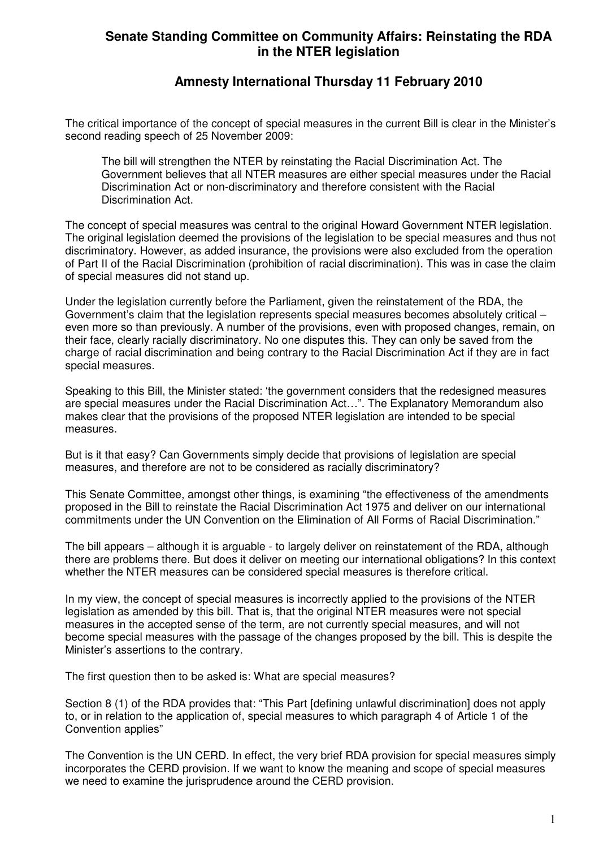## **Senate Standing Committee on Community Affairs: Reinstating the RDA in the NTER legislation**

## **Amnesty International Thursday 11 February 2010**

The critical importance of the concept of special measures in the current Bill is clear in the Minister's second reading speech of 25 November 2009:

The bill will strengthen the NTER by reinstating the Racial Discrimination Act. The Government believes that all NTER measures are either special measures under the Racial Discrimination Act or non-discriminatory and therefore consistent with the Racial Discrimination Act.

The concept of special measures was central to the original Howard Government NTER legislation. The original legislation deemed the provisions of the legislation to be special measures and thus not discriminatory. However, as added insurance, the provisions were also excluded from the operation of Part II of the Racial Discrimination (prohibition of racial discrimination). This was in case the claim of special measures did not stand up.

Under the legislation currently before the Parliament, given the reinstatement of the RDA, the Government's claim that the legislation represents special measures becomes absolutely critical – even more so than previously. A number of the provisions, even with proposed changes, remain, on their face, clearly racially discriminatory. No one disputes this. They can only be saved from the charge of racial discrimination and being contrary to the Racial Discrimination Act if they are in fact special measures.

Speaking to this Bill, the Minister stated: 'the government considers that the redesigned measures are special measures under the Racial Discrimination Act…". The Explanatory Memorandum also makes clear that the provisions of the proposed NTER legislation are intended to be special measures.

But is it that easy? Can Governments simply decide that provisions of legislation are special measures, and therefore are not to be considered as racially discriminatory?

This Senate Committee, amongst other things, is examining "the effectiveness of the amendments proposed in the Bill to reinstate the Racial Discrimination Act 1975 and deliver on our international commitments under the UN Convention on the Elimination of All Forms of Racial Discrimination."

The bill appears – although it is arguable - to largely deliver on reinstatement of the RDA, although there are problems there. But does it deliver on meeting our international obligations? In this context whether the NTER measures can be considered special measures is therefore critical.

In my view, the concept of special measures is incorrectly applied to the provisions of the NTER legislation as amended by this bill. That is, that the original NTER measures were not special measures in the accepted sense of the term, are not currently special measures, and will not become special measures with the passage of the changes proposed by the bill. This is despite the Minister's assertions to the contrary.

The first question then to be asked is: What are special measures?

Section 8 (1) of the RDA provides that: "This Part [defining unlawful discrimination] does not apply to, or in relation to the application of, special measures to which paragraph 4 of Article 1 of the Convention applies"

The Convention is the UN CERD. In effect, the very brief RDA provision for special measures simply incorporates the CERD provision. If we want to know the meaning and scope of special measures we need to examine the jurisprudence around the CERD provision.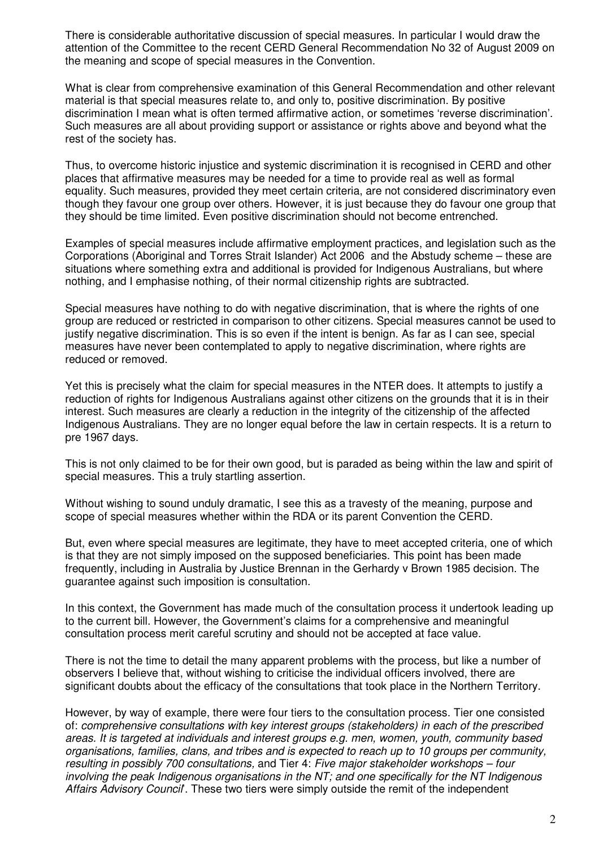There is considerable authoritative discussion of special measures. In particular I would draw the attention of the Committee to the recent CERD General Recommendation No 32 of August 2009 on the meaning and scope of special measures in the Convention.

What is clear from comprehensive examination of this General Recommendation and other relevant material is that special measures relate to, and only to, positive discrimination. By positive discrimination I mean what is often termed affirmative action, or sometimes 'reverse discrimination'. Such measures are all about providing support or assistance or rights above and beyond what the rest of the society has.

Thus, to overcome historic injustice and systemic discrimination it is recognised in CERD and other places that affirmative measures may be needed for a time to provide real as well as formal equality. Such measures, provided they meet certain criteria, are not considered discriminatory even though they favour one group over others. However, it is just because they do favour one group that they should be time limited. Even positive discrimination should not become entrenched.

Examples of special measures include affirmative employment practices, and legislation such as the Corporations (Aboriginal and Torres Strait Islander) Act 2006 and the Abstudy scheme – these are situations where something extra and additional is provided for Indigenous Australians, but where nothing, and I emphasise nothing, of their normal citizenship rights are subtracted.

Special measures have nothing to do with negative discrimination, that is where the rights of one group are reduced or restricted in comparison to other citizens. Special measures cannot be used to justify negative discrimination. This is so even if the intent is benign. As far as I can see, special measures have never been contemplated to apply to negative discrimination, where rights are reduced or removed.

Yet this is precisely what the claim for special measures in the NTER does. It attempts to justify a reduction of rights for Indigenous Australians against other citizens on the grounds that it is in their interest. Such measures are clearly a reduction in the integrity of the citizenship of the affected Indigenous Australians. They are no longer equal before the law in certain respects. It is a return to pre 1967 days.

This is not only claimed to be for their own good, but is paraded as being within the law and spirit of special measures. This a truly startling assertion.

Without wishing to sound unduly dramatic, I see this as a travesty of the meaning, purpose and scope of special measures whether within the RDA or its parent Convention the CERD.

But, even where special measures are legitimate, they have to meet accepted criteria, one of which is that they are not simply imposed on the supposed beneficiaries. This point has been made frequently, including in Australia by Justice Brennan in the Gerhardy v Brown 1985 decision. The guarantee against such imposition is consultation.

In this context, the Government has made much of the consultation process it undertook leading up to the current bill. However, the Government's claims for a comprehensive and meaningful consultation process merit careful scrutiny and should not be accepted at face value.

There is not the time to detail the many apparent problems with the process, but like a number of observers I believe that, without wishing to criticise the individual officers involved, there are significant doubts about the efficacy of the consultations that took place in the Northern Territory.

However, by way of example, there were four tiers to the consultation process. Tier one consisted of: comprehensive consultations with key interest groups (stakeholders) in each of the prescribed areas. It is targeted at individuals and interest groups e.g. men, women, youth, community based organisations, families, clans, and tribes and is expected to reach up to 10 groups per community, resulting in possibly 700 consultations, and Tier 4: Five major stakeholder workshops – four involving the peak Indigenous organisations in the NT; and one specifically for the NT Indigenous Affairs Advisory Council. These two tiers were simply outside the remit of the independent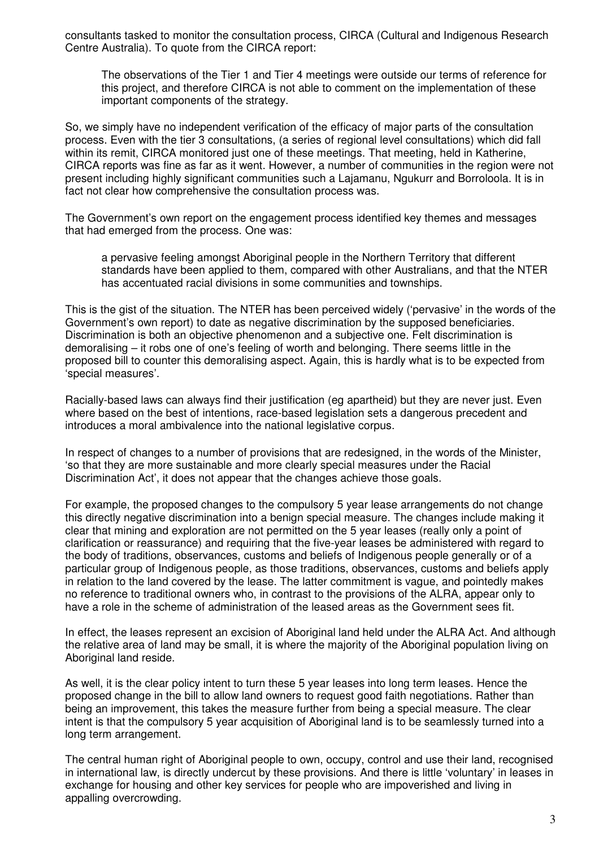consultants tasked to monitor the consultation process, CIRCA (Cultural and Indigenous Research Centre Australia). To quote from the CIRCA report:

The observations of the Tier 1 and Tier 4 meetings were outside our terms of reference for this project, and therefore CIRCA is not able to comment on the implementation of these important components of the strategy.

So, we simply have no independent verification of the efficacy of major parts of the consultation process. Even with the tier 3 consultations, (a series of regional level consultations) which did fall within its remit. CIRCA monitored just one of these meetings. That meeting, held in Katherine, CIRCA reports was fine as far as it went. However, a number of communities in the region were not present including highly significant communities such a Lajamanu, Ngukurr and Borroloola. It is in fact not clear how comprehensive the consultation process was.

The Government's own report on the engagement process identified key themes and messages that had emerged from the process. One was:

a pervasive feeling amongst Aboriginal people in the Northern Territory that different standards have been applied to them, compared with other Australians, and that the NTER has accentuated racial divisions in some communities and townships.

This is the gist of the situation. The NTER has been perceived widely ('pervasive' in the words of the Government's own report) to date as negative discrimination by the supposed beneficiaries. Discrimination is both an objective phenomenon and a subjective one. Felt discrimination is demoralising – it robs one of one's feeling of worth and belonging. There seems little in the proposed bill to counter this demoralising aspect. Again, this is hardly what is to be expected from 'special measures'.

Racially-based laws can always find their justification (eg apartheid) but they are never just. Even where based on the best of intentions, race-based legislation sets a dangerous precedent and introduces a moral ambivalence into the national legislative corpus.

In respect of changes to a number of provisions that are redesigned, in the words of the Minister, 'so that they are more sustainable and more clearly special measures under the Racial Discrimination Act', it does not appear that the changes achieve those goals.

For example, the proposed changes to the compulsory 5 year lease arrangements do not change this directly negative discrimination into a benign special measure. The changes include making it clear that mining and exploration are not permitted on the 5 year leases (really only a point of clarification or reassurance) and requiring that the five-year leases be administered with regard to the body of traditions, observances, customs and beliefs of Indigenous people generally or of a particular group of Indigenous people, as those traditions, observances, customs and beliefs apply in relation to the land covered by the lease. The latter commitment is vague, and pointedly makes no reference to traditional owners who, in contrast to the provisions of the ALRA, appear only to have a role in the scheme of administration of the leased areas as the Government sees fit.

In effect, the leases represent an excision of Aboriginal land held under the ALRA Act. And although the relative area of land may be small, it is where the majority of the Aboriginal population living on Aboriginal land reside.

As well, it is the clear policy intent to turn these 5 year leases into long term leases. Hence the proposed change in the bill to allow land owners to request good faith negotiations. Rather than being an improvement, this takes the measure further from being a special measure. The clear intent is that the compulsory 5 year acquisition of Aboriginal land is to be seamlessly turned into a long term arrangement.

The central human right of Aboriginal people to own, occupy, control and use their land, recognised in international law, is directly undercut by these provisions. And there is little 'voluntary' in leases in exchange for housing and other key services for people who are impoverished and living in appalling overcrowding.